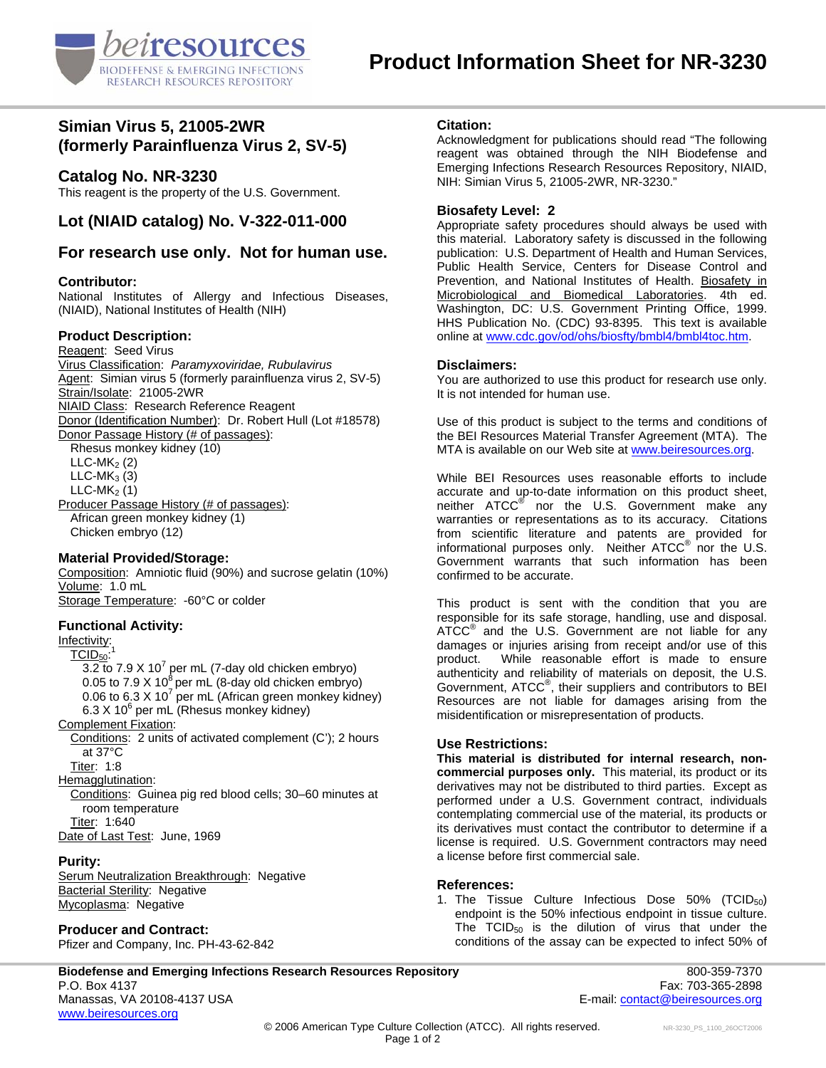

# **Simian Virus 5, 21005-2WR (formerly Parainfluenza Virus 2, SV-5)**

## **Catalog No. NR-3230**

This reagent is the property of the U.S. Government.

# **Lot (NIAID catalog) No. V-322-011-000**

## **For research use only. Not for human use.**

#### **Contributor:**

National Institutes of Allergy and Infectious Diseases, (NIAID), National Institutes of Health (NIH)

### **Product Description:**

Reagent: Seed Virus Virus Classification: *Paramyxoviridae, Rubulavirus*  Agent: Simian virus 5 (formerly parainfluenza virus 2, SV-5) Strain/Isolate: 21005-2WR NIAID Class: Research Reference Reagent Donor (Identification Number): Dr. Robert Hull (Lot #18578) Donor Passage History (# of passages): Rhesus monkey kidney (10)  $LLC-MK<sub>2</sub>(2)$  $LLC-MK<sub>3</sub>(3)$  $LLC$ -MK<sub>2</sub> $(1)$ 

Producer Passage History (# of passages): African green monkey kidney (1) Chicken embryo (12)

#### **Material Provided/Storage:**

Composition: Amniotic fluid (90%) and sucrose gelatin (10%) Volume: 1.0 mL Storage Temperature: -60°C or colder

### **Functional Activity:**

Infectivity:<br><sup>1</sup> TCID: TCID50:  $\overline{3.2}$  to 7.9 X 10<sup>7</sup> per mL (7-day old chicken embryo) 0.05 to 7.9 X 10<sup>8</sup> per mL (8-day old chicken embryo) 0.06 to 6.3 X 10<sup>7</sup> per mL (African green monkey kidney)  $6.3$  X 10<sup>6</sup> per mL (Rhesus monkey kidney) Complement Fixation: Conditions: 2 units of activated complement (C'); 2 hours at 37°C Titer: 1:8 Hemagglutination: Conditions: Guinea pig red blood cells; 30–60 minutes at room temperature Titer: 1:640

Date of Last Test: June, 1969

### **Purity:**

Serum Neutralization Breakthrough: Negative Bacterial Sterility: Negative Mycoplasma: Negative

### **Producer and Contract:**

Pfizer and Company, Inc. PH-43-62-842

### **Citation:**

Acknowledgment for publications should read "The following reagent was obtained through the NIH Biodefense and Emerging Infections Research Resources Repository, NIAID, NIH: Simian Virus 5, 21005-2WR, NR-3230."

#### **Biosafety Level: 2**

Appropriate safety procedures should always be used with this material. Laboratory safety is discussed in the following publication: U.S. Department of Health and Human Services, Public Health Service, Centers for Disease Control and Prevention, and National Institutes of Health. Biosafety in Microbiological and Biomedical Laboratories. 4th ed. Washington, DC: U.S. Government Printing Office, 1999. HHS Publication No. (CDC) 93-8395. This text is available online at [www.cdc.gov/od/ohs/biosfty/bmbl4/bmbl4toc.htm](http://www.cdc.gov/od/ohs/biosfty/bmbl4/bmbl4toc.htm).

#### **Disclaimers:**

You are authorized to use this product for research use only. It is not intended for human use.

Use of this product is subject to the terms and conditions of the BEI Resources Material Transfer Agreement (MTA). The MTA is available on our Web site at [www.beiresources.org](http://www.beiresources.org/).

While BEI Resources uses reasonable efforts to include accurate and up-to-date information on this product sheet, neither ATCC<sup>®</sup> nor the U.S. Government make any warranties or representations as to its accuracy. Citations from scientific literature and patents are provided for informational purposes only. Neither  $\tt{ATCC}^{\circledR}$  nor the U.S. Government warrants that such information has been confirmed to be accurate.

This product is sent with the condition that you are responsible for its safe storage, handling, use and disposal. ATCC<sup>®</sup> and the U.S. Government are not liable for any damages or injuries arising from receipt and/or use of this product. While reasonable effort is made to ensure authenticity and reliability of materials on deposit, the U.S. Government, ATCC® , their suppliers and contributors to BEI Resources are not liable for damages arising from the misidentification or misrepresentation of products.

### **Use Restrictions:**

**This material is distributed for internal research, noncommercial purposes only.** This material, its product or its derivatives may not be distributed to third parties. Except as performed under a U.S. Government contract, individuals contemplating commercial use of the material, its products or its derivatives must contact the contributor to determine if a license is required. U.S. Government contractors may need a license before first commercial sale.

### **References:**

1. The Tissue Culture Infectious Dose  $50\%$  (TCID<sub>50</sub>) endpoint is the 50% infectious endpoint in tissue culture. The  $TCID_{50}$  is the dilution of virus that under the conditions of the assay can be expected to infect 50% of

**Biodefense and Emerging Infections Research Resources Repository** 800-359-7370 P.O. Box 4137 Fax: 703-365-2898 Manassas, VA 20108-4137 USA E-mail: contact@beiresources.org www.beiresources.org